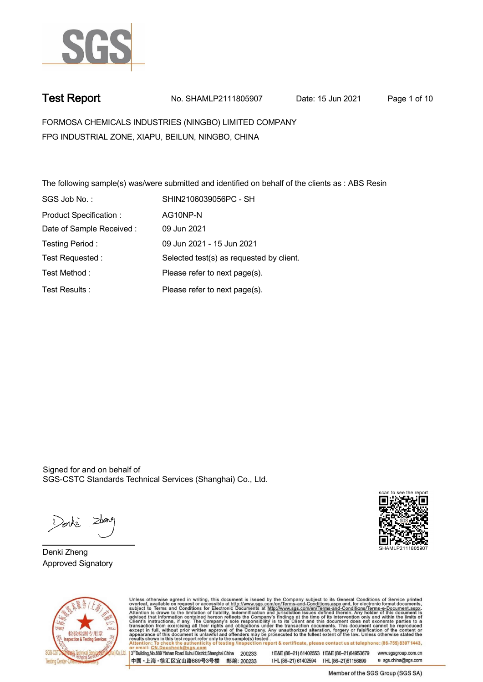

**Test Report. No. SHAMLP2111805907 Date: 15 Jun 2021. Page 1 of 10.**

**FORMOSA CHEMICALS INDUSTRIES (NINGBO) LIMITED COMPANY . FPG INDUSTRIAL ZONE, XIAPU, BEILUN, NINGBO, CHINA**

**The following sample(s) was/were submitted and identified on behalf of the clients as : ABS Resin . SGS Job No. : SHIN2106039056PC - SH . Product Specification : . AG10NP-N. Date of Sample Received : . 09 Jun 2021. Testing Period :. 09 Jun 2021 - 15 Jun 2021 . Test Requested :. Selected test(s) as requested by client. . Please refer to next page(s). . Please refer to next page(s). . Test Method :. Test Results :.**

Signed for and on behalf of SGS-CSTC Standards Technical Services (Shanghai) Co., Ltd..

Denke

**Denki Zheng. Approved Signatory .**





Unless otherwise agreed in writing, this document is issued by the Company subject to its General Conditions of Service printed overleaf, available on request or accessible at http://www.sgs.com/en/Terms-and-Conditions.asp

3<sup>rd</sup> Building No.889 Yishan Road Xuhui District Shanghai China 200233 中国·上海·徐汇区宜山路889号3号楼 邮编: 200233 tE&E (86-21) 61402553 fE&E (86-21)64953679 www.sgsgroup.com.cn tHL (86-21) 61402594 fHL (86-21) 61156899 e sgs.china@sgs.com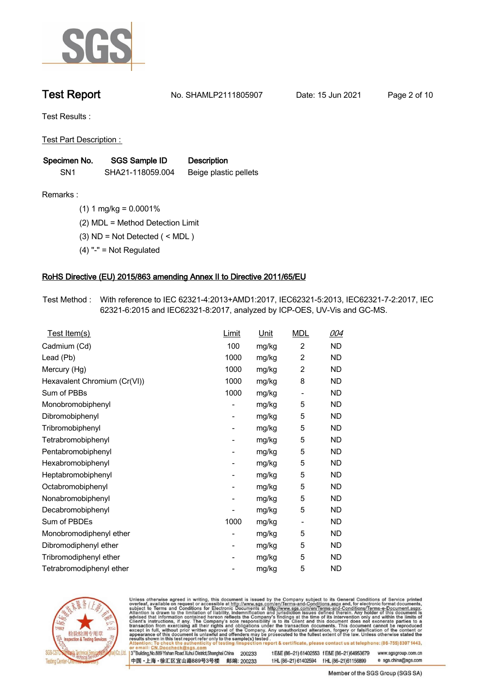

**Test Report. No. SHAMLP2111805907 Date: 15 Jun 2021. Page 2 of 10.**

**Test Results :.**

**Test Part Description : .**

| Specimen No.    | SGS Sample ID    | <b>Description</b>    |  |
|-----------------|------------------|-----------------------|--|
| SN <sub>1</sub> | SHA21-118059.004 | Beige plastic pellets |  |

**Remarks :.(1) 1 mg/kg = 0.0001% .**

**(2) MDL = Method Detection Limit .**

**(3) ND = Not Detected ( < MDL ) .**

**(4) "-" = Not Regulated .**

## **RoHS Directive (EU) 2015/863 amending Annex II to Directive 2011/65/EU.**

**Test Method :. With reference to IEC 62321-4:2013+AMD1:2017, IEC62321-5:2013, IEC62321-7-2:2017, IEC 62321-6:2015 and IEC62321-8:2017, analyzed by ICP-OES, UV-Vis and GC-MS. .**

| Test Item(s)                 | Limit | <u>Unit</u> | <b>MDL</b>               | 004       |
|------------------------------|-------|-------------|--------------------------|-----------|
| Cadmium (Cd)                 | 100   | mg/kg       | $\overline{2}$           | ND        |
| Lead (Pb)                    | 1000  | mg/kg       | $\overline{2}$           | <b>ND</b> |
| Mercury (Hg)                 | 1000  | mg/kg       | $\overline{2}$           | <b>ND</b> |
| Hexavalent Chromium (Cr(VI)) | 1000  | mg/kg       | 8                        | <b>ND</b> |
| Sum of PBBs                  | 1000  | mg/kg       | $\overline{a}$           | ND        |
| Monobromobiphenyl            |       | mg/kg       | 5                        | ND.       |
| Dibromobiphenyl              | -     | mg/kg       | 5                        | ND.       |
| Tribromobiphenyl             |       | mg/kg       | 5                        | ND.       |
| Tetrabromobiphenyl           | -     | mg/kg       | 5                        | ND        |
| Pentabromobiphenyl           |       | mg/kg       | 5                        | <b>ND</b> |
| Hexabromobiphenyl            | -     | mg/kg       | 5                        | ND.       |
| Heptabromobiphenyl           |       | mg/kg       | 5                        | <b>ND</b> |
| Octabromobiphenyl            | -     | mg/kg       | 5                        | ND        |
| Nonabromobiphenyl            |       | mg/kg       | 5                        | ND.       |
| Decabromobiphenyl            |       | mg/kg       | 5                        | ND        |
| Sum of PBDEs                 | 1000  | mg/kg       | $\overline{\phantom{a}}$ | ND.       |
| Monobromodiphenyl ether      |       | mg/kg       | 5                        | ND        |
| Dibromodiphenyl ether        | -     | mg/kg       | 5                        | ND.       |
| Tribromodiphenyl ether       | -     | mg/kg       | 5                        | <b>ND</b> |
| Tetrabromodiphenyl ether     |       | mg/kg       | 5                        | <b>ND</b> |



Unless otherwise agreed in writing, this document is issued by the Company subject to its General Conditions of Service printed overleaf, available on request or accessible at http://www.sgs.com/en/Terms-and-Conditions.asp

3<sup>rd</sup> Building, No.889 Yishan Road Xuhui District, Shanghai China 200233 中国·上海·徐汇区宜山路889号3号楼 邮编: 200233 tE&E (86-21) 61402553 fE&E (86-21)64953679 www.sgsgroup.com.cn

t HL (86-21) 61402594 f HL (86-21) 61156899 e sgs.china@sgs.com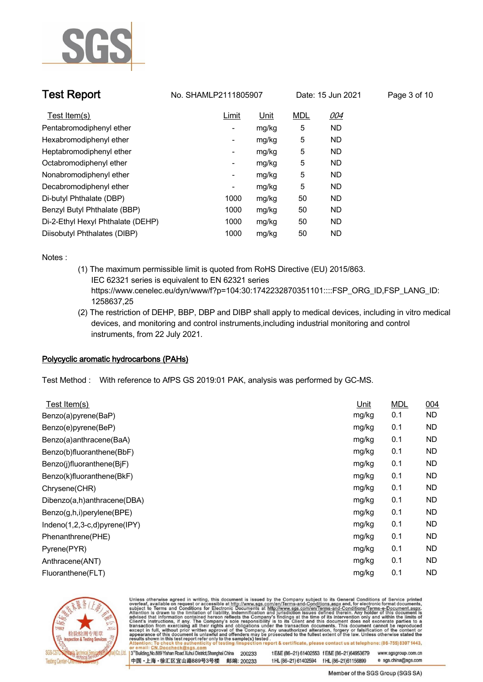

| <b>Test Report</b>                | No. SHAMLP2111805907 |       | Date: 15 Jun 2021 |           | Page 3 of 10 |
|-----------------------------------|----------------------|-------|-------------------|-----------|--------------|
| Test Item(s)                      | Limit                | Unit  | <b>MDL</b>        | 004       |              |
| Pentabromodiphenyl ether          |                      | mg/kg | 5                 | <b>ND</b> |              |
| Hexabromodiphenyl ether           | -                    | mg/kg | 5                 | <b>ND</b> |              |
| Heptabromodiphenyl ether          | -                    | mg/kg | 5                 | <b>ND</b> |              |
| Octabromodiphenyl ether           | -                    | mg/kg | 5                 | <b>ND</b> |              |
| Nonabromodiphenyl ether           | -                    | mg/kg | 5                 | <b>ND</b> |              |
| Decabromodiphenyl ether           | -                    | mg/kg | 5                 | <b>ND</b> |              |
| Di-butyl Phthalate (DBP)          | 1000                 | mg/kg | 50                | <b>ND</b> |              |
| Benzyl Butyl Phthalate (BBP)      | 1000                 | mg/kg | 50                | <b>ND</b> |              |
| Di-2-Ethyl Hexyl Phthalate (DEHP) | 1000                 | mg/kg | 50                | <b>ND</b> |              |
| Diisobutyl Phthalates (DIBP)      | 1000                 | mg/kg | 50                | <b>ND</b> |              |

**Notes :.**

- **(1) The maximum permissible limit is quoted from RoHS Directive (EU) 2015/863. IEC 62321 series is equivalent to EN 62321 series https://www.cenelec.eu/dyn/www/f?p=104:30:1742232870351101::::FSP\_ORG\_ID,FSP\_LANG\_ID: 1258637,25**
- **(2) The restriction of DEHP, BBP, DBP and DIBP shall apply to medical devices, including in vitro medical devices, and monitoring and control instruments,including industrial monitoring and control instruments, from 22 July 2021. .**

## **Polycyclic aromatic hydrocarbons (PAHs).**

**Test Method :. With reference to AfPS GS 2019:01 PAK, analysis was performed by GC-MS. .**

| Test Item(s)                 | Unit  | <b>MDL</b> | 004       |
|------------------------------|-------|------------|-----------|
| Benzo(a)pyrene(BaP)          | mg/kg | 0.1        | <b>ND</b> |
| Benzo(e)pyrene(BeP)          | mg/kg | 0.1        | <b>ND</b> |
| Benzo(a)anthracene(BaA)      | mg/kg | 0.1        | <b>ND</b> |
| Benzo(b)fluoranthene(BbF)    | mg/kg | 0.1        | ND.       |
| Benzo(j)fluoranthene(BjF)    | mg/kg | 0.1        | <b>ND</b> |
| Benzo(k)fluoranthene(BkF)    | mg/kg | 0.1        | <b>ND</b> |
| Chrysene(CHR)                | mg/kg | 0.1        | <b>ND</b> |
| Dibenzo(a,h)anthracene(DBA)  | mg/kg | 0.1        | <b>ND</b> |
| Benzo(g,h,i)perylene(BPE)    | mg/kg | 0.1        | <b>ND</b> |
| Indeno(1,2,3-c,d)pyrene(IPY) | mg/kg | 0.1        | ND.       |
| Phenanthrene(PHE)            | mg/kg | 0.1        | ND.       |
| Pyrene(PYR)                  | mg/kg | 0.1        | <b>ND</b> |
| Anthracene(ANT)              | mg/kg | 0.1        | <b>ND</b> |
| Fluoranthene(FLT)            | mg/kg | 0.1        | <b>ND</b> |
|                              |       |            |           |



Unless otherwise agreed in writing, this document is issued by the Company subject to its General Conditions of Service printed overleaf, available on request or accessible at http://www.sgs.com/en/Terms-and-Conditions.asp

3<sup>14</sup> Building, No.889 Yishan Road Xuhui District, Shanghai China 200233 中国·上海·徐汇区宜山路889号3号楼 邮编: 200233 tE&E (86-21) 61402553 fE&E (86-21)64953679 www.sgsgroup.com.cn

t HL (86-21) 61402594 f HL (86-21) 61156899 e sgs.china@sgs.com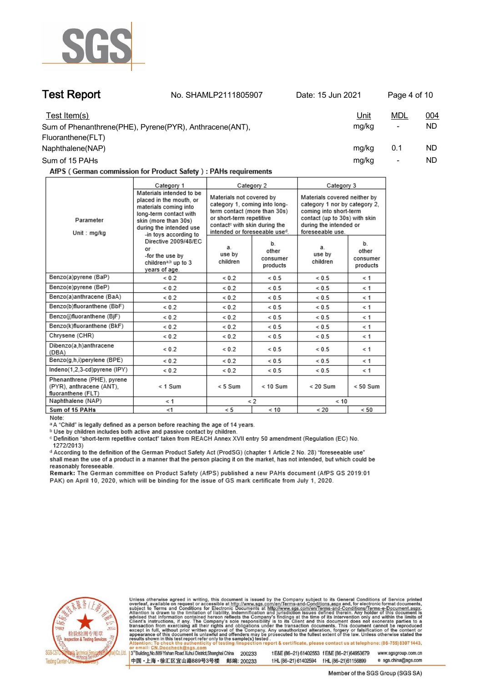

**Test Report. No. SHAMLP2111805907 Date: 15 Jun 2021. Page 4 of 10.**

| Test Item(s)                                            | <u>Unit</u> | mdl                      | 004 |
|---------------------------------------------------------|-------------|--------------------------|-----|
| Sum of Phenanthrene(PHE), Pyrene(PYR), Anthracene(ANT), | mg/kg       | $\overline{\phantom{a}}$ | ND. |
| Fluoranthene(FLT)                                       |             |                          |     |
| Naphthalene(NAP)                                        | mg/kg       | 0.1                      | ND. |
| Sum of 15 PAHs                                          | mg/kg       |                          | ND  |

AfPS (German commission for Product Safety): PAHs requirements

|                                                                              | Category 1<br>Category 2                                                                                                                                                                                                                                                                |                                                                                                                                                                                                     |                                     | Category 3                                                                                                                                                             |                                     |
|------------------------------------------------------------------------------|-----------------------------------------------------------------------------------------------------------------------------------------------------------------------------------------------------------------------------------------------------------------------------------------|-----------------------------------------------------------------------------------------------------------------------------------------------------------------------------------------------------|-------------------------------------|------------------------------------------------------------------------------------------------------------------------------------------------------------------------|-------------------------------------|
| Parameter<br>Unit: mg/kg                                                     | Materials intended to be<br>placed in the mouth, or<br>materials coming into<br>long-term contact with<br>skin (more than 30s)<br>during the intended use<br>-in toys according to<br>Directive 2009/48/EC<br>or<br>-for the use by<br>children <sup>a,b</sup> up to 3<br>years of age. | Materials not covered by<br>category 1, coming into long-<br>term contact (more than 30s)<br>or short-term repetitive<br>contact <sup>c</sup> with skin during the<br>intended or foreseeable used. |                                     | Materials covered neither by<br>category 1 nor by category 2.<br>coming into short-term<br>contact (up to 30s) with skin<br>during the intended or<br>foreseeable use. |                                     |
|                                                                              |                                                                                                                                                                                                                                                                                         | a.<br>use by<br>children                                                                                                                                                                            | b.<br>other<br>consumer<br>products | a.<br>use by<br>children                                                                                                                                               | b.<br>other<br>consumer<br>products |
| Benzo(a)pyrene (BaP)                                                         | ${}_{0.2}$                                                                                                                                                                                                                                                                              | ${}_{0.2}$                                                                                                                                                                                          | ${}< 0.5$                           | ${}< 0.5$                                                                                                                                                              | $\leq 1$                            |
| Benzo(e)pyrene (BeP)                                                         | ${}_{0.2}$                                                                                                                                                                                                                                                                              | ${}_{0.2}$                                                                                                                                                                                          | ${}< 0.5$                           | ${}< 0.5$                                                                                                                                                              | ≺ 1                                 |
| Benzo(a)anthracene (BaA)                                                     | ${}_{0.2}$                                                                                                                                                                                                                                                                              | ${}_{0.2}$                                                                                                                                                                                          | ${}_{0.5}$                          | ${}_{0.5}$                                                                                                                                                             | $\leq 1$                            |
| Benzo(b)fluoranthene (BbF)                                                   | ${}< 0.2$                                                                                                                                                                                                                                                                               | ${}_{0.2}$                                                                                                                                                                                          | ${}< 0.5$                           | ${}< 0.5$                                                                                                                                                              | $\leq 1$                            |
| Benzo(j)fluoranthene (BjF)                                                   | ${}_{0.2}$                                                                                                                                                                                                                                                                              | ${}< 0.2$                                                                                                                                                                                           | ${}< 0.5$                           | ${}< 0.5$                                                                                                                                                              | $\leq 1$                            |
| Benzo(k)fluoranthene (BkF)                                                   | ${}_{0.2}$                                                                                                                                                                                                                                                                              | ${}_{0.2}$                                                                                                                                                                                          | ${}_{0.5}$                          | ${}_{0.5}$                                                                                                                                                             | $\leq 1$                            |
| Chrysene (CHR)                                                               | ${}< 0.2$                                                                                                                                                                                                                                                                               | ${}_{0.2}$                                                                                                                                                                                          | ${}< 0.5$                           | ${}< 0.5$                                                                                                                                                              | $\leq 1$                            |
| Dibenzo(a,h)anthracene<br>(DBA)                                              | ${}_{0.2}$                                                                                                                                                                                                                                                                              | ${}< 0.2$                                                                                                                                                                                           | ${}< 0.5$                           | ${}< 0.5$                                                                                                                                                              | $\leq 1$                            |
| Benzo(g,h,i)perylene (BPE)                                                   | ${}_{0.2}$                                                                                                                                                                                                                                                                              | ${}< 0.2$                                                                                                                                                                                           | ${}< 0.5$                           | ${}< 0.5$                                                                                                                                                              | $\leq 1$                            |
| Indeno(1,2,3-cd)pyrene (IPY)                                                 | ${}_{0.2}$                                                                                                                                                                                                                                                                              | ${}_{0.2}$                                                                                                                                                                                          | ${}_{0.5}$                          | ${}< 0.5$                                                                                                                                                              | $\leq 1$                            |
| Phenanthrene (PHE), pyrene<br>(PYR), anthracene (ANT),<br>fluoranthene (FLT) | $< 1$ Sum                                                                                                                                                                                                                                                                               | $< 5$ Sum                                                                                                                                                                                           | $< 10$ Sum                          | $< 20$ Sum                                                                                                                                                             | $< 50$ Sum                          |
| Naphthalene (NAP)                                                            | < 1                                                                                                                                                                                                                                                                                     | $\lt 2$                                                                                                                                                                                             |                                     | < 10                                                                                                                                                                   |                                     |
| Sum of 15 PAHs                                                               | < 1                                                                                                                                                                                                                                                                                     | < 5                                                                                                                                                                                                 | < 10                                | < 20                                                                                                                                                                   | < 50                                |

Note:

<sup>a</sup> A "Child" is legally defined as a person before reaching the age of 14 years.

b Use by children includes both active and passive contact by children.

c Definition "short-term repetitive contact" taken from REACH Annex XVII entry 50 amendment (Regulation (EC) No. 1272/2013)

d According to the definition of the German Product Safety Act (ProdSG) (chapter 1 Article 2 No. 28) "foreseeable use" shall mean the use of a product in a manner that the person placing it on the market, has not intended, but which could be reasonably foreseeable.

Remark: The German committee on Product Safety (AfPS) published a new PAHs document (AfPS GS 2019:01 PAK) on April 10, 2020, which will be binding for the issue of GS mark certificate from July 1, 2020.



Unless otherwise agreed in writing, this document is issued by the Company subject to its General Conditions of Service printed overleaf, available on request or accessible at http://www.sgs.com/en/Terms-and-Conditions.asp

3<sup>rd</sup> Building, No.889 Yishan Road Xuhui District, Shanghai China 200233 中国·上海·徐汇区宜山路889号3号楼 邮编: 200233 tE&E (86-21) 61402553 fE&E (86-21)64953679 www.sgsgroup.com.cn

e sgs.china@sgs.com t HL (86-21) 61402594 f HL (86-21) 61156899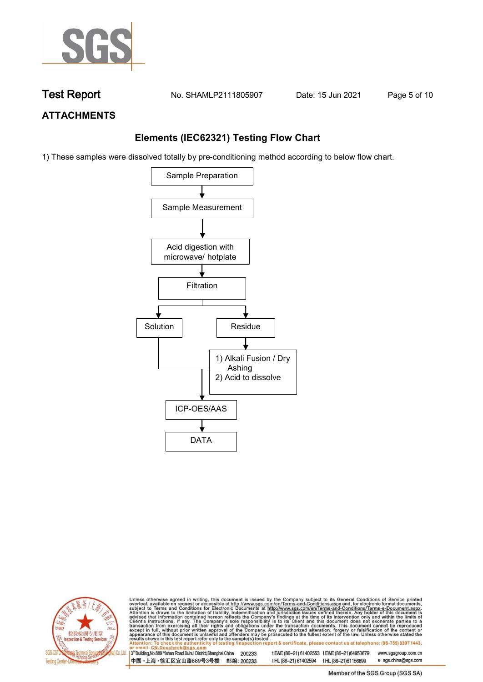

**Test Report. No. SHAMLP2111805907 Date: 15 Jun 2021. Page 5 of 10.**

## **ATTACHMENTS**

## **Elements (IEC62321) Testing Flow Chart**

1) These samples were dissolved totally by pre-conditioning method according to below flow chart.





Unless otherwise agreed in writing, this document is issued by the Company subject to its General Conditions of Service printed overleaf, available on request or accessible at http://www.sgs.com/en/Terms-and-Conditions.asp

3<sup>rd</sup> Building, No.889 Yishan Road Xuhui District, Shanghai China 200233 中国·上海·徐汇区宜山路889号3号楼 邮编: 200233 tE&E (86-21) 61402553 fE&E (86-21)64953679 www.sgsgroup.com.cn e sgs.china@sgs.com t HL (86-21) 61402594 f HL (86-21) 61156899

Member of the SGS Group (SGS SA)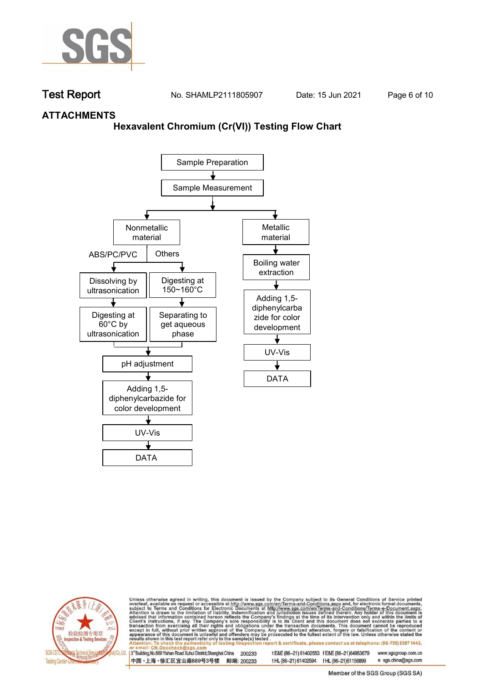

**Test Report. No. SHAMLP2111805907 Date: 15 Jun 2021. Page 6 of 10.**

## **ATTACHMENTS**

## **Hexavalent Chromium (Cr(VI)) Testing Flow Chart**





Unless otherwise agreed in writing, this document is issued by the Company subject to its General Conditions of Service printed overleaf, available on request or accessible at http://www.sgs.com/en/Terms-and-Conditions.asp

3<sup>rd</sup> Building, No.889 Yishan Road Xuhui District, Shanghai China 200233 中国·上海·徐汇区宜山路889号3号楼 邮编: 200233 tE&E (86-21) 61402553 fE&E (86-21)64953679 www.sgsgroup.com.cn

t HL (86-21) 61402594 f HL (86-21)61156899 e sgs.china@sgs.com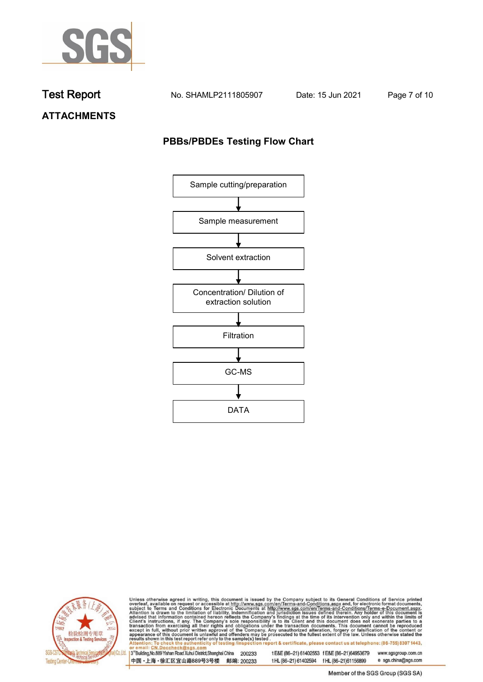

**Test Report. No. SHAMLP2111805907 Date: 15 Jun 2021. Page 7 of 10.**

**ATTACHMENTS**

## **PBBs/PBDEs Testing Flow Chart**





Unless otherwise agreed in writing, this document is issued by the Company subject to its General Conditions of Service printed overleaf, available on request or accessible at http://www.sgs.com/en/Terms-and-Conditions.asp

3<sup>'</sup>Building, No.889 Yishan Road Xuhui District, Shanghai China 200233 中国·上海·徐汇区宜山路889号3号楼 邮编: 200233

tE&E (86-21) 61402553 fE&E (86-21)64953679 www.sgsgroup.com.cn

t HL (86-21) 61402594 f HL (86-21) 61156899 e sgs.china@sgs.com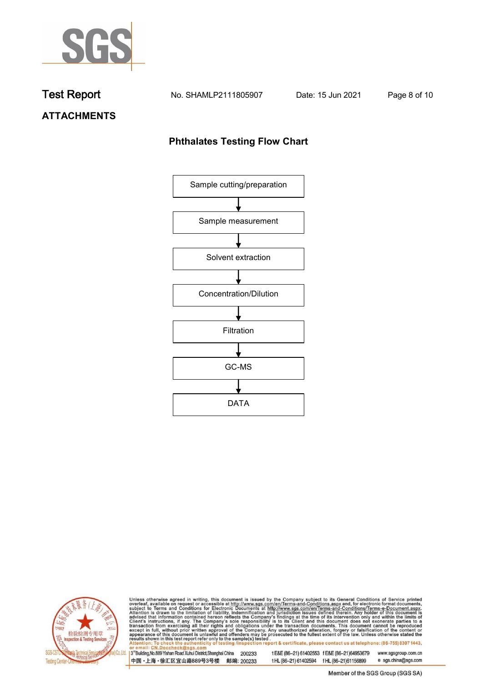

**Test Report. No. SHAMLP2111805907 Date: 15 Jun 2021. Page 8 of 10.**

# **ATTACHMENTS**

## **Phthalates Testing Flow Chart**





Unless otherwise agreed in writing, this document is issued by the Company subject to its General Conditions of Service printed overleaf, available on request or accessible at http://www.sgs.com/en/Terms-and-Conditions.asp

3<sup>'</sup>Building, No.889 Yishan Road Xuhui District, Shanghai China 200233 中国·上海·徐汇区宜山路889号3号楼 邮编: 200233

tE&E (86-21) 61402553 fE&E (86-21)64953679 www.sgsgroup.com.cn

e sgs.china@sgs.com t HL (86-21) 61402594 f HL (86-21) 61156899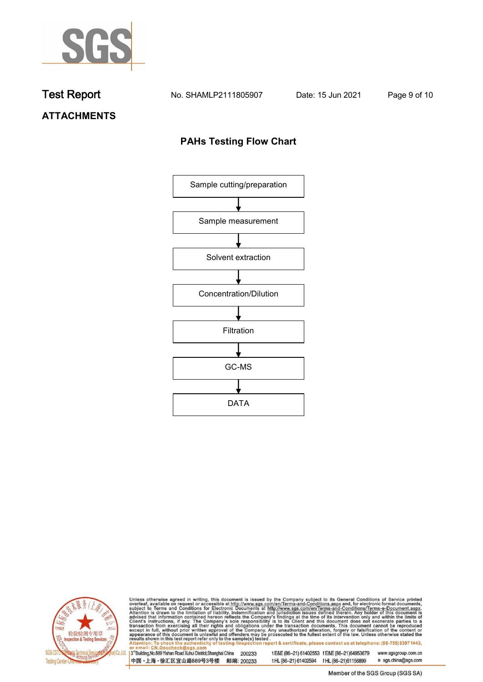

**Test Report. No. SHAMLP2111805907 Date: 15 Jun 2021. Page 9 of 10.**

# **ATTACHMENTS**

## **PAHs Testing Flow Chart**





Unless otherwise agreed in writing, this document is issued by the Company subject to its General Conditions of Service printed overleaf, available on request or accessible at http://www.sgs.com/en/Terms-and-Conditions.asp

3<sup>'</sup>Building, No.889 Yishan Road Xuhui District, Shanghai China 200233 中国·上海·徐汇区宜山路889号3号楼 邮编: 200233

tE&E (86-21) 61402553 fE&E (86-21)64953679 www.sgsgroup.com.cn

e sgs.china@sgs.com t HL (86-21) 61402594 f HL (86-21) 61156899